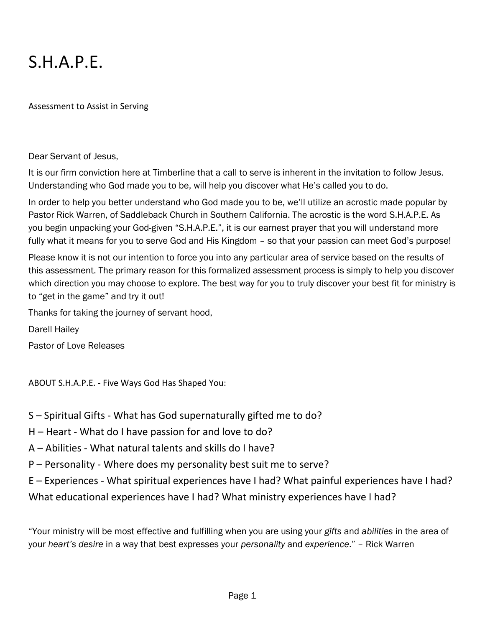# S.H.A.P.E.

Assessment to Assist in Serving

#### Dear Servant of Jesus,

It is our firm conviction here at Timberline that a call to serve is inherent in the invitation to follow Jesus. Understanding who God made you to be, will help you discover what He's called you to do.

In order to help you better understand who God made you to be, we'll utilize an acrostic made popular by Pastor Rick Warren, of Saddleback Church in Southern California. The acrostic is the word S.H.A.P.E. As you begin unpacking your God-given "S.H.A.P.E.", it is our earnest prayer that you will understand more fully what it means for you to serve God and His Kingdom - so that your passion can meet God's purpose!

Please know it is not our intention to force you into any particular area of service based on the results of this assessment. The primary reason for this formalized assessment process is simply to help you discover which direction you may choose to explore. The best way for you to truly discover your best fit for ministry is to "get in the game" and try it out!

Thanks for taking the journey of servant hood,

Darell Hailey

Pastor of Love Releases

ABOUT S.H.A.P.E. - Five Ways God Has Shaped You:

- S Spiritual Gifts What has God supernaturally gifted me to do?
- H Heart What do I have passion for and love to do?
- A Abilities What natural talents and skills do I have?
- P Personality Where does my personality best suit me to serve?
- E Experiences What spiritual experiences have I had? What painful experiences have I had?

What educational experiences have I had? What ministry experiences have I had?

"Your ministry will be most effective and fulfilling when you are using your *gifts* and *abilities* in the area of your *heart's desire* in a way that best expresses your *personality* and *experience*." – Rick Warren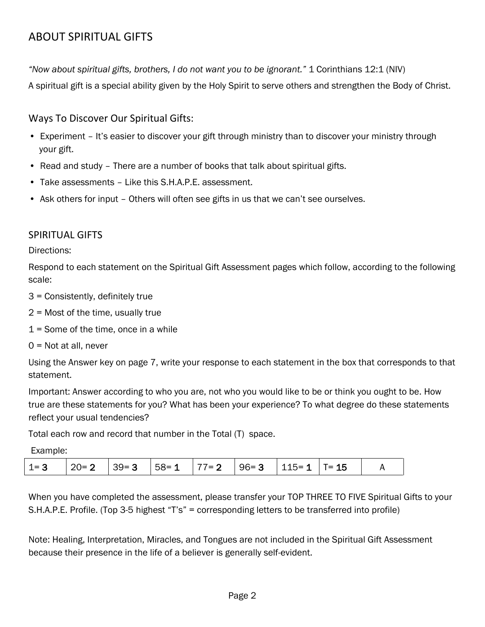# ABOUT SPIRITUAL GIFTS

*"Now about spiritual gifts, brothers, I do not want you to be ignorant."* 1 Corinthians 12:1 (NIV)

A spiritual gift is a special ability given by the Holy Spirit to serve others and strengthen the Body of Christ.

Ways To Discover Our Spiritual Gifts:

- Experiment It's easier to discover your gift through ministry than to discover your ministry through your gift.
- Read and study There are a number of books that talk about spiritual gifts.
- Take assessments Like this S.H.A.P.E. assessment.
- Ask others for input Others will often see gifts in us that we can't see ourselves.

## SPIRITUAL GIFTS

Directions:

Respond to each statement on the Spiritual Gift Assessment pages which follow, according to the following scale:

- 3 = Consistently, definitely true
- 2 = Most of the time, usually true
- 1 = Some of the time, once in a while
- 0 = Not at all, never

Using the Answer key on page 7, write your response to each statement in the box that corresponds to that statement.

Important: Answer according to who you are, not who you would like to be or think you ought to be. How true are these statements for you? What has been your experience? To what degree do these statements reflect your usual tendencies?

Total each row and record that number in the Total (T) space.

Example:

|  |  | $1=3$   20 = 2   39 = 3   58 = 1   77 = 2   96 = 3   115 = 1   T = 15 |  |  |  |  |  |  |
|--|--|-----------------------------------------------------------------------|--|--|--|--|--|--|
|--|--|-----------------------------------------------------------------------|--|--|--|--|--|--|

When you have completed the assessment, please transfer your TOP THREE TO FIVE Spiritual Gifts to your S.H.A.P.E. Profile. (Top 3-5 highest "T's" = corresponding letters to be transferred into profile)

Note: Healing, Interpretation, Miracles, and Tongues are not included in the Spiritual Gift Assessment because their presence in the life of a believer is generally self-evident.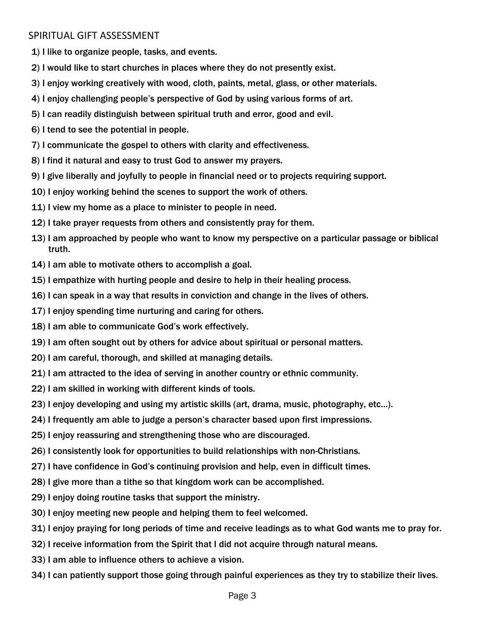## SPIRITUAL GIFT ASSESSMENT

1) I like to organize people, tasks, and events.

- 2) I would like to start churches in places where they do not presently exist.
- 3) I enjoy working creatively with wood, cloth, paints, metal, glass, or other materials.
- 4) I enjoy challenging people's perspective of God by using various forms of art.
- 5) I can readily distinguish between spiritual truth and error, good and evil.
- 6) I tend to see the potential in people.
- 7) I communicate the gospel to others with clarity and effectiveness.
- 8) I find it natural and easy to trust God to answer my prayers.
- 9) I give liberally and joyfully to people in financial need or to projects requiring support.
- 10) I enjoy working behind the scenes to support the work of others.
- 11) I view my home as a place to minister to people in need.
- 12) I take prayer requests from others and consistently pray for them.
- 13) I am approached by people who want to know my perspective on a particular passage or biblical truth.
- 14) I am able to motivate others to accomplish a goal.
- 15) I empathize with hurting people and desire to help in their healing process.
- 16) I can speak in a way that results in conviction and change in the lives of others.
- 17) I enjoy spending time nurturing and caring for others.
- 18) I am able to communicate God's work effectively.
- 19) I am often sought out by others for advice about spiritual or personal matters.
- 20) I am careful, thorough, and skilled at managing details.
- 21) I am attracted to the idea of serving in another country or ethnic community.
- 22) I am skilled in working with different kinds of tools.
- 23) I enjoy developing and using my artistic skills (art, drama, music, photography, etc…).
- 24) I frequently am able to judge a person's character based upon first impressions.
- 25) I enjoy reassuring and strengthening those who are discouraged.
- 26) I consistently look for opportunities to build relationships with non-Christians.
- 27) I have confidence in God's continuing provision and help, even in difficult times.
- 28) I give more than a tithe so that kingdom work can be accomplished.
- 29) I enjoy doing routine tasks that support the ministry.
- 30) I enjoy meeting new people and helping them to feel welcomed.
- 31) I enjoy praying for long periods of time and receive leadings as to what God wants me to pray for.
- 32) I receive information from the Spirit that I did not acquire through natural means.
- 33) I am able to influence others to achieve a vision.
- 34) I can patiently support those going through painful experiences as they try to stabilize their lives.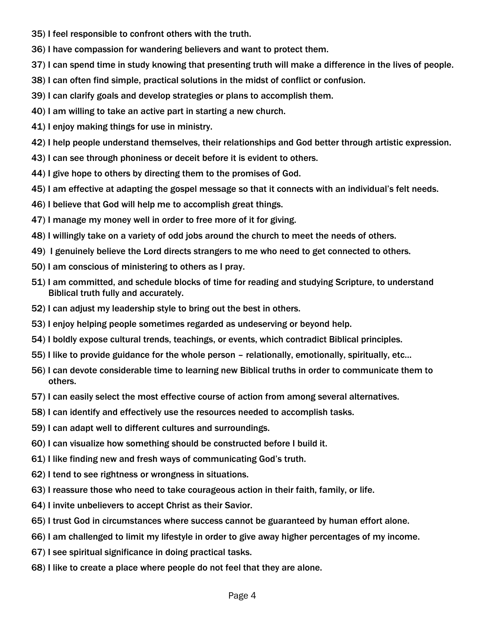- 35) I feel responsible to confront others with the truth.
- 36) I have compassion for wandering believers and want to protect them.
- 37) I can spend time in study knowing that presenting truth will make a difference in the lives of people.
- 38) I can often find simple, practical solutions in the midst of conflict or confusion.
- 39) I can clarify goals and develop strategies or plans to accomplish them.
- 40) I am willing to take an active part in starting a new church.
- 41) I enjoy making things for use in ministry.
- 42) I help people understand themselves, their relationships and God better through artistic expression.
- 43) I can see through phoniness or deceit before it is evident to others.
- 44) I give hope to others by directing them to the promises of God.
- 45) I am effective at adapting the gospel message so that it connects with an individual's felt needs.
- 46) I believe that God will help me to accomplish great things.
- 47) I manage my money well in order to free more of it for giving.
- 48) I willingly take on a variety of odd jobs around the church to meet the needs of others.
- 49) I genuinely believe the Lord directs strangers to me who need to get connected to others.
- 50) I am conscious of ministering to others as I pray.
- 51) I am committed, and schedule blocks of time for reading and studying Scripture, to understand Biblical truth fully and accurately.
- 52) I can adjust my leadership style to bring out the best in others.
- 53) I enjoy helping people sometimes regarded as undeserving or beyond help.
- 54) I boldly expose cultural trends, teachings, or events, which contradict Biblical principles.
- 55) I like to provide guidance for the whole person relationally, emotionally, spiritually, etc…
- 56) I can devote considerable time to learning new Biblical truths in order to communicate them to others.
- 57) I can easily select the most effective course of action from among several alternatives.
- 58) I can identify and effectively use the resources needed to accomplish tasks.
- 59) I can adapt well to different cultures and surroundings.
- 60) I can visualize how something should be constructed before I build it.
- 61) I like finding new and fresh ways of communicating God's truth.
- 62) I tend to see rightness or wrongness in situations.
- 63) I reassure those who need to take courageous action in their faith, family, or life.
- 64) I invite unbelievers to accept Christ as their Savior.
- 65) I trust God in circumstances where success cannot be guaranteed by human effort alone.
- 66) I am challenged to limit my lifestyle in order to give away higher percentages of my income.
- 67) I see spiritual significance in doing practical tasks.
- 68) I like to create a place where people do not feel that they are alone.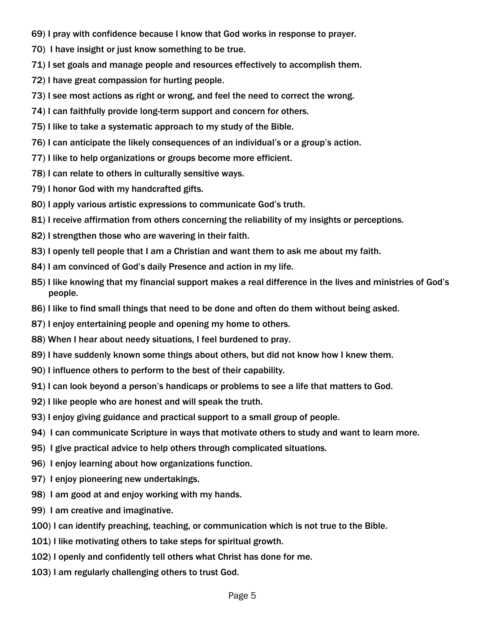- 69) I pray with confidence because I know that God works in response to prayer.
- 70) I have insight or just know something to be true.
- 71) I set goals and manage people and resources effectively to accomplish them.
- 72) I have great compassion for hurting people.
- 73) I see most actions as right or wrong, and feel the need to correct the wrong.
- 74) I can faithfully provide long-term support and concern for others.
- 75) I like to take a systematic approach to my study of the Bible.
- 76) I can anticipate the likely consequences of an individual's or a group's action.
- 77) I like to help organizations or groups become more efficient.
- 78) I can relate to others in culturally sensitive ways.
- 79) I honor God with my handcrafted gifts.
- 80) I apply various artistic expressions to communicate God's truth.
- 81) I receive affirmation from others concerning the reliability of my insights or perceptions.
- 82) I strengthen those who are wavering in their faith.
- 83) I openly tell people that I am a Christian and want them to ask me about my faith.
- 84) I am convinced of God's daily Presence and action in my life.
- 85) I like knowing that my financial support makes a real difference in the lives and ministries of God's people.
- 86) I like to find small things that need to be done and often do them without being asked.
- 87) I enjoy entertaining people and opening my home to others.
- 88) When I hear about needy situations, I feel burdened to pray.
- 89) I have suddenly known some things about others, but did not know how I knew them.
- 90) I influence others to perform to the best of their capability.
- 91) I can look beyond a person's handicaps or problems to see a life that matters to God.
- 92) I like people who are honest and will speak the truth.
- 93) I enjoy giving guidance and practical support to a small group of people.
- 94) I can communicate Scripture in ways that motivate others to study and want to learn more.
- 95) I give practical advice to help others through complicated situations.
- 96) I enjoy learning about how organizations function.
- 97) I enjoy pioneering new undertakings.
- 98) I am good at and enjoy working with my hands.
- 99) I am creative and imaginative.
- 100) I can identify preaching, teaching, or communication which is not true to the Bible.
- 101) I like motivating others to take steps for spiritual growth.
- 102) I openly and confidently tell others what Christ has done for me.
- 103) I am regularly challenging others to trust God.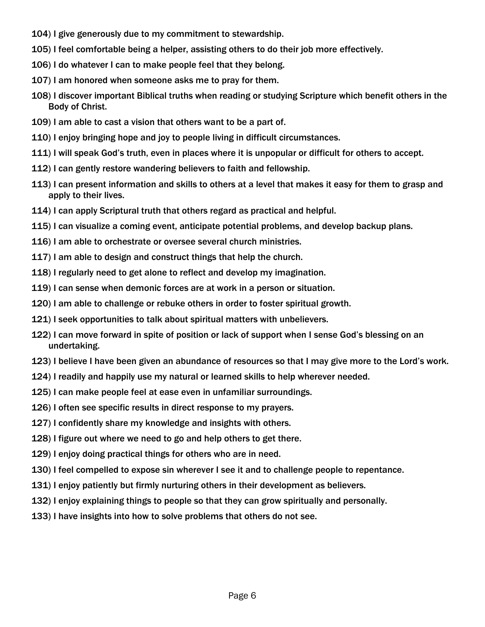- 104) I give generously due to my commitment to stewardship.
- 105) I feel comfortable being a helper, assisting others to do their job more effectively.
- 106) I do whatever I can to make people feel that they belong.
- 107) I am honored when someone asks me to pray for them.
- 108) I discover important Biblical truths when reading or studying Scripture which benefit others in the Body of Christ.
- 109) I am able to cast a vision that others want to be a part of.
- 110) I enjoy bringing hope and joy to people living in difficult circumstances.
- 111) I will speak God's truth, even in places where it is unpopular or difficult for others to accept.
- 112) I can gently restore wandering believers to faith and fellowship.
- 113) I can present information and skills to others at a level that makes it easy for them to grasp and apply to their lives.
- 114) I can apply Scriptural truth that others regard as practical and helpful.
- 115) I can visualize a coming event, anticipate potential problems, and develop backup plans.
- 116) I am able to orchestrate or oversee several church ministries.
- 117) I am able to design and construct things that help the church.
- 118) I regularly need to get alone to reflect and develop my imagination.
- 119) I can sense when demonic forces are at work in a person or situation.
- 120) I am able to challenge or rebuke others in order to foster spiritual growth.
- 121) I seek opportunities to talk about spiritual matters with unbelievers.
- 122) I can move forward in spite of position or lack of support when I sense God's blessing on an undertaking.
- 123) I believe I have been given an abundance of resources so that I may give more to the Lord's work.
- 124) I readily and happily use my natural or learned skills to help wherever needed.
- 125) I can make people feel at ease even in unfamiliar surroundings.
- 126) I often see specific results in direct response to my prayers.
- 127) I confidently share my knowledge and insights with others.
- 128) I figure out where we need to go and help others to get there.
- 129) I enjoy doing practical things for others who are in need.
- 130) I feel compelled to expose sin wherever I see it and to challenge people to repentance.
- 131) I enjoy patiently but firmly nurturing others in their development as believers.
- 132) I enjoy explaining things to people so that they can grow spiritually and personally.
- 133) I have insights into how to solve problems that others do not see.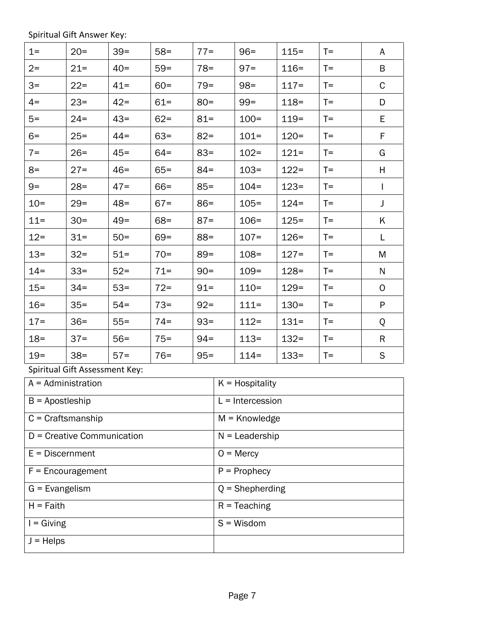Spiritual Gift Answer Key:

| $1 =$                | $20 =$                         | $39 =$ | $58 =$ | $77 =$            |                    | $96 =$        | $115 =$ | $T =$ | A            |  |
|----------------------|--------------------------------|--------|--------|-------------------|--------------------|---------------|---------|-------|--------------|--|
| $2=$                 | $21 =$                         | $40=$  | $59 =$ | $78 =$            |                    | $97 =$        | $116 =$ | $T =$ | B            |  |
| $3=$                 | $22 =$                         | $41 =$ | $60 =$ | $79 =$            |                    | $98 =$        | $117 =$ | $T =$ | $\mathsf C$  |  |
| $4=$                 | $23 =$                         | $42 =$ | $61 =$ | $80 =$            |                    | $99 =$        | $118 =$ | $T =$ | D            |  |
| $5=$                 | $24 =$                         | $43=$  | $62 =$ | $81 =$            |                    | $100 =$       | $119 =$ | $T =$ | Е            |  |
| $6=$                 | $25 =$                         | $44 =$ | $63 =$ | $82 =$            |                    | $101 =$       | $120 =$ | $T =$ | F            |  |
| $7 =$                | $26 =$                         | $45 =$ | $64 =$ | $83 =$            |                    | $102 =$       | $121 =$ | $T =$ | G            |  |
| $8=$                 | $27 =$                         | $46 =$ | $65 =$ | $84 =$            |                    | $103 =$       | $122 =$ | $T =$ | Н            |  |
| $9=$                 | $28 =$                         | $47 =$ | $66 =$ | $85 =$            |                    | $104 =$       | $123 =$ | $T =$ | L            |  |
| $10 =$               | $29 =$                         | $48 =$ | $67 =$ | $86 =$            |                    | $105 =$       | $124 =$ | $T =$ | J            |  |
| $11 =$               | $30 =$                         | $49 =$ | $68 =$ | $87 =$            |                    | $106 =$       | $125 =$ | $T =$ | Κ            |  |
| $12 =$               | $31 =$                         | $50 =$ | $69 =$ | $88 =$            |                    | $107 =$       | $126 =$ | $T =$ | L            |  |
| $13 =$               | $32 =$                         | $51 =$ | $70=$  | $89 =$            |                    | $108 =$       | $127 =$ | $T =$ | M            |  |
| $14 =$               | $33 =$                         | $52 =$ | $71 =$ | $90 =$            |                    | $109 =$       | $128 =$ | $T =$ | N            |  |
| $15 =$               | $34 =$                         | $53 =$ | $72 =$ | $91 =$            |                    | $110 =$       | $129 =$ | $T =$ | $\mathsf{O}$ |  |
| $16 =$               | $35 =$                         | $54=$  | $73 =$ | $92 =$            |                    | $111 =$       | $130 =$ | $T =$ | P            |  |
| $17 =$               | $36=$                          | $55 =$ | $74 =$ | $93 =$            |                    | $112 =$       | $131 =$ | $T =$ | Q            |  |
| $18 =$               | $37 =$                         | $56 =$ | $75 =$ | $94 =$            |                    | $113=$        | $132 =$ | $T =$ | R            |  |
| $19 =$               | $38 =$                         | $57 =$ | $76 =$ | $95 =$            |                    | $114 =$       | $133 =$ | $T =$ | S            |  |
|                      | Spiritual Gift Assessment Key: |        |        |                   |                    |               |         |       |              |  |
| $A =$ Administration |                                |        |        |                   | $K =$ Hospitality  |               |         |       |              |  |
| $B =$ Apostleship    |                                |        |        |                   | $L = Intercession$ |               |         |       |              |  |
|                      | $C =$ Craftsmanship            |        |        |                   | $M =$ Knowledge    |               |         |       |              |  |
|                      | D = Creative Communication     |        |        | $N =$ Leadership  |                    |               |         |       |              |  |
| $E = Discernment$    |                                |        |        | $O =$ Mercy       |                    |               |         |       |              |  |
|                      | $F =$ Encouragement            |        |        | $P =$ Prophecy    |                    |               |         |       |              |  |
| $G =$ Evangelism     |                                |        |        | $Q =$ Shepherding |                    |               |         |       |              |  |
| $H =$ Faith          |                                |        |        | $R = Teaching$    |                    |               |         |       |              |  |
| $I = Giving$         |                                |        |        |                   |                    | $S = W$ isdom |         |       |              |  |
| $J = Helps$          |                                |        |        |                   |                    |               |         |       |              |  |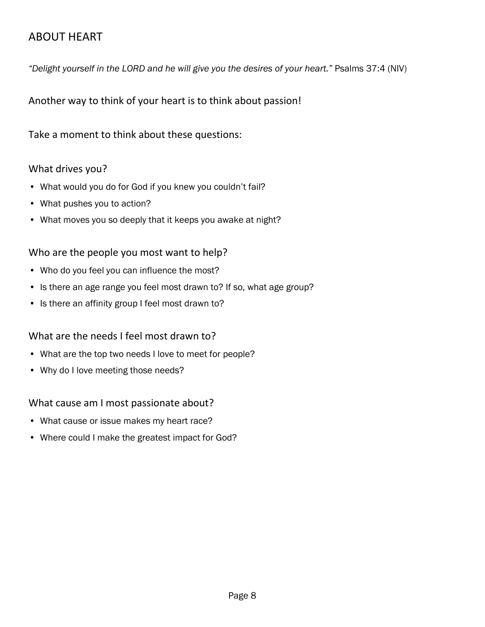# ABOUT HEART

*"Delight yourself in the LORD and he will give you the desires of your heart."* Psalms 37:4 (NIV)

Another way to think of your heart is to think about passion!

Take a moment to think about these questions:

## What drives you?

- What would you do for God if you knew you couldn't fail?
- What pushes you to action?
- What moves you so deeply that it keeps you awake at night?

## Who are the people you most want to help?

- Who do you feel you can influence the most?
- Is there an age range you feel most drawn to? If so, what age group?
- Is there an affinity group I feel most drawn to?

## What are the needs I feel most drawn to?

- What are the top two needs I love to meet for people?
- Why do I love meeting those needs?

## What cause am I most passionate about?

- What cause or issue makes my heart race?
- Where could I make the greatest impact for God?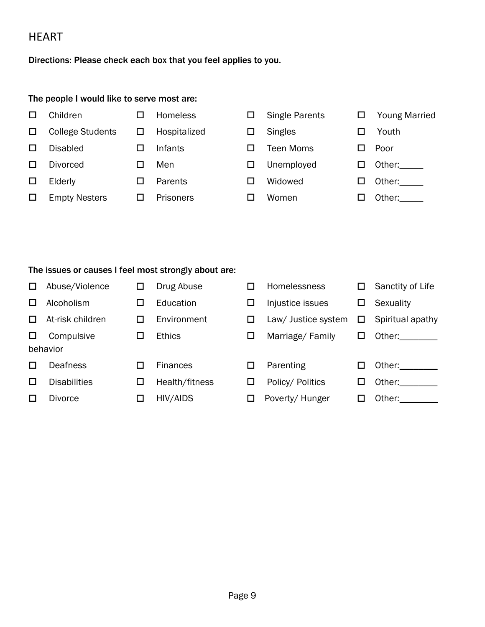## **HEART**

Directions: Please check each box that you feel applies to you.

#### The people I would like to serve most are:

- □ Children □ Homeless □ Single Parents □ Young Married □ College Students □ Hospitalized □ Singles □ Youth □ Disabled □ Infants □ Teen Moms □ Poor □ Divorced □ Men □ Unemployed □ Other: \_\_\_\_
- □ Empty Nesters □ Prisoners □ Women □ Other:
- 
- □ Elderly □ Parents □ Widowed □ Other:\_\_\_\_
- 
- -
	-
	-
	-
- 
- 
- 
- -
- 

#### The issues or causes I feel most strongly about are:

| □            | Abuse/Violence      | □      | Drug Abuse      | □ | Homelessness        | □  | Sanctity of Life        |
|--------------|---------------------|--------|-----------------|---|---------------------|----|-------------------------|
| LΙ           | Alcoholism          | □      | Education       | □ | Injustice issues    | □  | Sexuality               |
| $\mathbf{L}$ | At-risk children    | $\Box$ | Environment     | □ | Law/ Justice system | Ц  | Spiritual apathy        |
| ш            | Compulsive          | ப      | <b>Ethics</b>   | □ | Marriage/Family     | ப  | Other: when the control |
|              | behavior            |        |                 |   |                     |    |                         |
|              | <b>Deafness</b>     | П      | <b>Finances</b> | □ | Parenting           | ΙI | Other:                  |
| $\mathbf{L}$ | <b>Disabilities</b> | □      | Health/fitness  | □ | Policy/ Politics    | ப  | Other:                  |
|              | <b>Divorce</b>      | □      | HIV/AIDS        | □ | Poverty/Hunger      | ப  | Other:                  |
|              |                     |        |                 |   |                     |    |                         |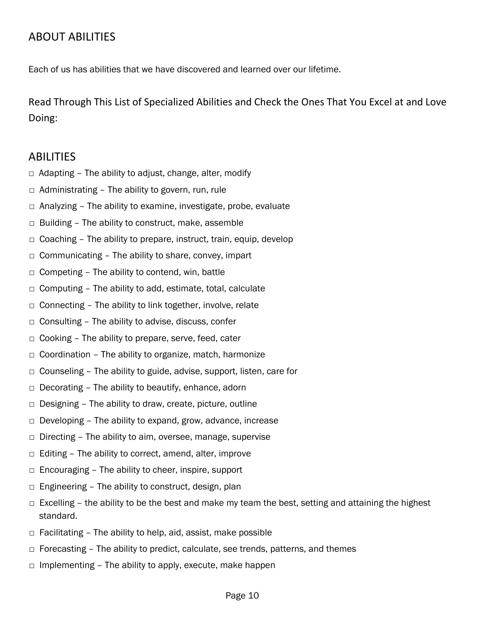# ABOUT ABILITIES

Each of us has abilities that we have discovered and learned over our lifetime.

Read Through This List of Specialized Abilities and Check the Ones That You Excel at and Love Doing:

## ABILITIES

- $\Box$  Adapting The ability to adjust, change, alter, modify
- $\Box$  Administrating The ability to govern, run, rule
- □ Analyzing The ability to examine, investigate, probe, evaluate
- $\Box$  Building The ability to construct, make, assemble
- $\Box$  Coaching The ability to prepare, instruct, train, equip, develop
- □ Communicating The ability to share, convey, impart
- $\Box$  Competing The ability to contend, win, battle
- $\Box$  Computing The ability to add, estimate, total, calculate
- $\Box$  Connecting The ability to link together, involve, relate
- $\Box$  Consulting The ability to advise, discuss, confer
- □ Cooking The ability to prepare, serve, feed, cater
- $\Box$  Coordination The ability to organize, match, harmonize
- □ Counseling The ability to guide, advise, support, listen, care for
- $\Box$  Decorating The ability to beautify, enhance, adorn
- □ Designing The ability to draw, create, picture, outline
- □ Developing The ability to expand, grow, advance, increase
- $\Box$  Directing The ability to aim, oversee, manage, supervise
- □ Editing The ability to correct, amend, alter, improve
- $\Box$  Encouraging The ability to cheer, inspire, support
- □ Engineering The ability to construct, design, plan
- $\Box$  Excelling the ability to be the best and make my team the best, setting and attaining the highest standard.
- $\Box$  Facilitating The ability to help, aid, assist, make possible
- $\Box$  Forecasting The ability to predict, calculate, see trends, patterns, and themes
- $\Box$  Implementing The ability to apply, execute, make happen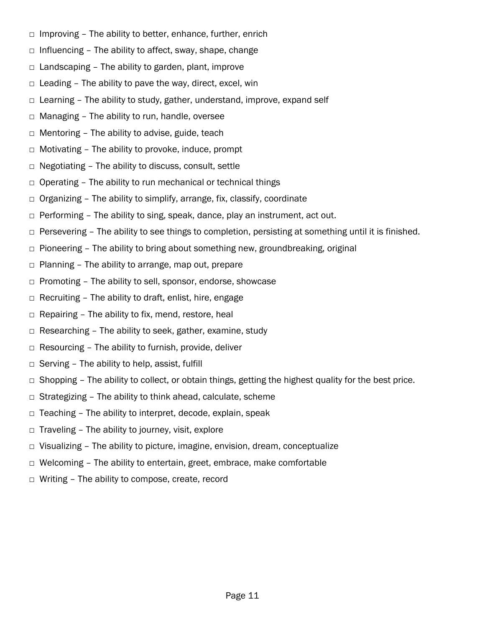- $\Box$  Improving The ability to better, enhance, further, enrich
- $\Box$  Influencing The ability to affect, sway, shape, change
- $\Box$  Landscaping The ability to garden, plant, improve
- $\Box$  Leading The ability to pave the way, direct, excel, win
- □ Learning The ability to study, gather, understand, improve, expand self
- □ Managing The ability to run, handle, oversee
- $\Box$  Mentoring The ability to advise, guide, teach
- $\Box$  Motivating The ability to provoke, induce, prompt
- $\Box$  Negotiating The ability to discuss, consult, settle
- $\Box$  Operating The ability to run mechanical or technical things
- □ Organizing The ability to simplify, arrange, fix, classify, coordinate
- $\Box$  Performing The ability to sing, speak, dance, play an instrument, act out.
- $\Box$  Persevering The ability to see things to completion, persisting at something until it is finished.
- $\Box$  Pioneering The ability to bring about something new, groundbreaking, original
- $\Box$  Planning The ability to arrange, map out, prepare
- □ Promoting The ability to sell, sponsor, endorse, showcase
- $\Box$  Recruiting The ability to draft, enlist, hire, engage
- $\Box$  Repairing The ability to fix, mend, restore, heal
- □ Researching The ability to seek, gather, examine, study
- $\Box$  Resourcing The ability to furnish, provide, deliver
- $\Box$  Serving The ability to help, assist, fulfill
- $\Box$  Shopping The ability to collect, or obtain things, getting the highest quality for the best price.
- $\Box$  Strategizing The ability to think ahead, calculate, scheme
- □ Teaching The ability to interpret, decode, explain, speak
- $\Box$  Traveling The ability to journey, visit, explore
- $\Box$  Visualizing The ability to picture, imagine, envision, dream, conceptualize
- $\Box$  Welcoming The ability to entertain, greet, embrace, make comfortable
- □ Writing The ability to compose, create, record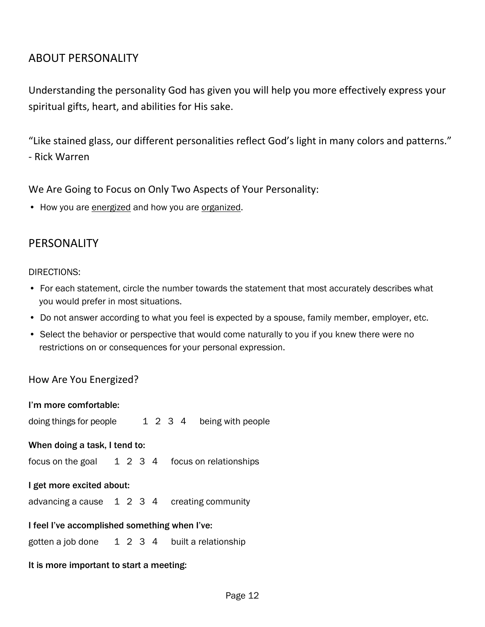## ABOUT PERSONALITY

Understanding the personality God has given you will help you more effectively express your spiritual gifts, heart, and abilities for His sake.

"Like stained glass, our different personalities reflect God's light in many colors and patterns." - Rick Warren

We Are Going to Focus on Only Two Aspects of Your Personality:

• How you are energized and how you are organized.

## PERSONALITY

#### DIRECTIONS:

- For each statement, circle the number towards the statement that most accurately describes what you would prefer in most situations.
- Do not answer according to what you feel is expected by a spouse, family member, employer, etc.
- Select the behavior or perspective that would come naturally to you if you knew there were no restrictions on or consequences for your personal expression.

## How Are You Energized?

| I'm more comfortable:                            |  |  |  |  |  |                           |  |  |
|--------------------------------------------------|--|--|--|--|--|---------------------------|--|--|
| doing things for people                          |  |  |  |  |  | 1 2 3 4 being with people |  |  |
| When doing a task, I tend to:                    |  |  |  |  |  |                           |  |  |
| focus on the goal 1 2 3 4 focus on relationships |  |  |  |  |  |                           |  |  |
| I get more excited about:                        |  |  |  |  |  |                           |  |  |
| advancing a cause 1 2 3 4 creating community     |  |  |  |  |  |                           |  |  |
| I feel I've accomplished something when I've:    |  |  |  |  |  |                           |  |  |
| gotten a job done 1 2 3 4 built a relationship   |  |  |  |  |  |                           |  |  |
|                                                  |  |  |  |  |  |                           |  |  |

It is more important to start a meeting: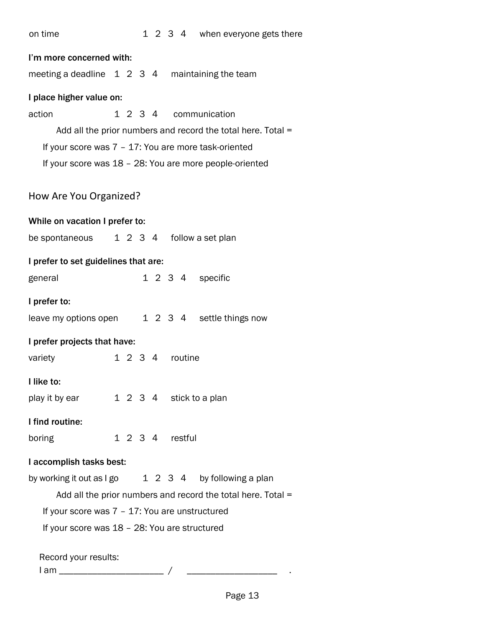| on time | 1 2 3 4 when everyone gets there |
|---------|----------------------------------|
|         |                                  |

| I'm more concerned with:                                 |  |  |  |         |  |                 |                                                              |  |
|----------------------------------------------------------|--|--|--|---------|--|-----------------|--------------------------------------------------------------|--|
| meeting a deadline $1\ 2\ 3\ 4$ maintaining the team     |  |  |  |         |  |                 |                                                              |  |
| I place higher value on:                                 |  |  |  |         |  |                 |                                                              |  |
| action                                                   |  |  |  |         |  |                 | 1 2 3 4 communication                                        |  |
|                                                          |  |  |  |         |  |                 | Add all the prior numbers and record the total here. Total = |  |
| If your score was 7 - 17: You are more task-oriented     |  |  |  |         |  |                 |                                                              |  |
| If your score was 18 - 28: You are more people-oriented  |  |  |  |         |  |                 |                                                              |  |
|                                                          |  |  |  |         |  |                 |                                                              |  |
| How Are You Organized?                                   |  |  |  |         |  |                 |                                                              |  |
| While on vacation I prefer to:                           |  |  |  |         |  |                 |                                                              |  |
| be spontaneous 1 2 3 4 follow a set plan                 |  |  |  |         |  |                 |                                                              |  |
| I prefer to set guidelines that are:                     |  |  |  |         |  |                 |                                                              |  |
| general                                                  |  |  |  |         |  |                 | 1 2 3 4 specific                                             |  |
| I prefer to:                                             |  |  |  |         |  |                 |                                                              |  |
| leave my options open 1 2 3 4 settle things now          |  |  |  |         |  |                 |                                                              |  |
| I prefer projects that have:                             |  |  |  |         |  |                 |                                                              |  |
| variety                                                  |  |  |  |         |  | 1 2 3 4 routine |                                                              |  |
| I like to:                                               |  |  |  |         |  |                 |                                                              |  |
| play it by ear                                           |  |  |  | 1 2 3 4 |  |                 | stick to a plan                                              |  |
| I find routine:                                          |  |  |  |         |  |                 |                                                              |  |
| boring                                                   |  |  |  |         |  | 1 2 3 4 restful |                                                              |  |
| I accomplish tasks best:                                 |  |  |  |         |  |                 |                                                              |  |
| 1 2 3 4 by following a plan<br>by working it out as I go |  |  |  |         |  |                 |                                                              |  |
|                                                          |  |  |  |         |  |                 | Add all the prior numbers and record the total here. Total = |  |
| If your score was 7 - 17: You are unstructured           |  |  |  |         |  |                 |                                                              |  |
| If your score was 18 - 28: You are structured            |  |  |  |         |  |                 |                                                              |  |
| Record your results:                                     |  |  |  |         |  |                 |                                                              |  |
| l am _______________________                             |  |  |  |         |  |                 |                                                              |  |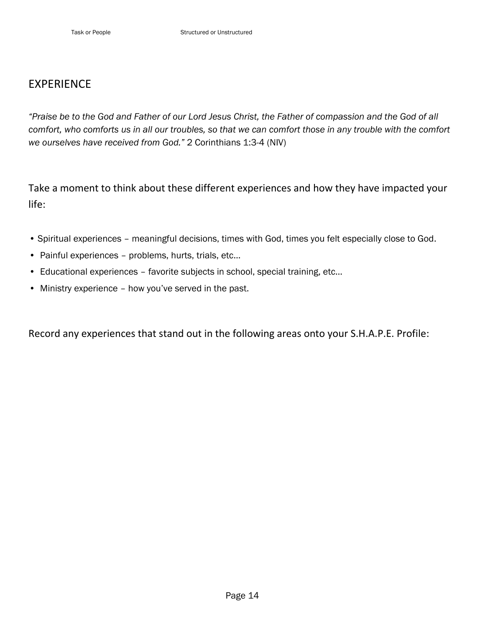## EXPERIENCE

*"Praise be to the God and Father of our Lord Jesus Christ, the Father of compassion and the God of all comfort, who comforts us in all our troubles, so that we can comfort those in any trouble with the comfort we ourselves have received from God."* 2 Corinthians 1:3-4 (NIV)

Take a moment to think about these different experiences and how they have impacted your life:

- Spiritual experiences meaningful decisions, times with God, times you felt especially close to God.
- Painful experiences problems, hurts, trials, etc…
- Educational experiences favorite subjects in school, special training, etc…
- Ministry experience how you've served in the past.

Record any experiences that stand out in the following areas onto your S.H.A.P.E. Profile: